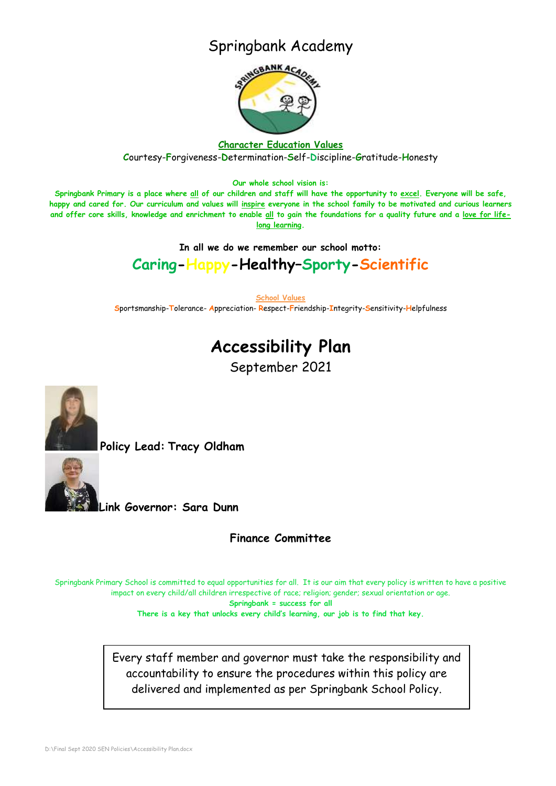## Springbank Academy



### **Character Education Values C**ourtesy-**F**orgiveness-**D**etermination-**S**elf-**D**iscipline-**G**ratitude-**H**onesty

**Our whole school vision is:**

**Springbank Primary is a place where all of our children and staff will have the opportunity to excel. Everyone will be safe, happy and cared for. Our curriculum and values will inspire everyone in the school family to be motivated and curious learners and offer core skills, knowledge and enrichment to enable all to gain the foundations for a quality future and a love for lifelong learning.**

**In all we do we remember our school motto:**

### **Caring-Happy-Healthy–Sporty-Scientific**

**School Values**

**S**portsmanship-**T**olerance- **A**ppreciation- **R**espect-**F**riendship-**I**ntegrity-**S**ensitivity-**H**elpfulness

## **Accessibility Plan**

September 2021



**Policy Lead: Tracy Oldham**



**Link Governor: Sara Dunn** 

**Finance Committee**

Springbank Primary School is committed to equal opportunities for all. It is our aim that every policy is written to have a positive impact on every child/all children irrespective of race; religion; gender; sexual orientation or age.

**Springbank = success for all**

**There is a key that unlocks every child's learning, our job is to find that key.**

Every staff member and governor must take the responsibility and accountability to ensure the procedures within this policy are delivered and implemented as per Springbank School Policy.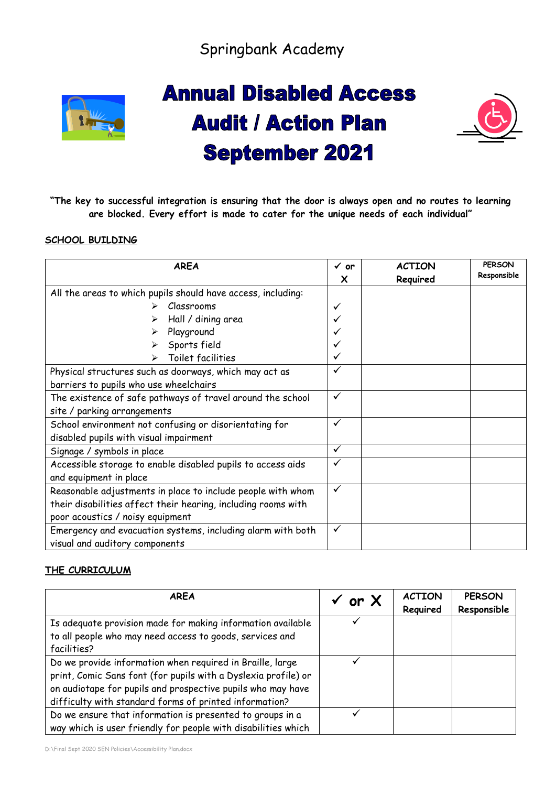Springbank Academy



# **Annual Disabled Access Audit / Action Plan September 2021**



**"The key to successful integration is ensuring that the door is always open and no routes to learning are blocked. Every effort is made to cater for the unique needs of each individual"**

### **SCHOOL BUILDING**

| <b>AREA</b>                                                   | $\checkmark$ or | <b>ACTION</b> | <b>PERSON</b><br>Responsible |
|---------------------------------------------------------------|-----------------|---------------|------------------------------|
|                                                               | X               | Required      |                              |
| All the areas to which pupils should have access, including:  |                 |               |                              |
| Classrooms                                                    | ✓               |               |                              |
| Hall / dining area                                            |                 |               |                              |
| Playground                                                    |                 |               |                              |
| Sports field                                                  |                 |               |                              |
| Toilet facilities                                             |                 |               |                              |
| Physical structures such as doorways, which may act as        | ✓               |               |                              |
| barriers to pupils who use wheelchairs                        |                 |               |                              |
| The existence of safe pathways of travel around the school    | ✓               |               |                              |
| site / parking arrangements                                   |                 |               |                              |
| School environment not confusing or disorientating for        | ✓               |               |                              |
| disabled pupils with visual impairment                        |                 |               |                              |
| Signage / symbols in place                                    | $\checkmark$    |               |                              |
| Accessible storage to enable disabled pupils to access aids   | ✓               |               |                              |
| and equipment in place                                        |                 |               |                              |
| Reasonable adjustments in place to include people with whom   | ✓               |               |                              |
| their disabilities affect their hearing, including rooms with |                 |               |                              |
| poor acoustics / noisy equipment                              |                 |               |                              |
| Emergency and evacuation systems, including alarm with both   | $\checkmark$    |               |                              |
| visual and auditory components                                |                 |               |                              |

### **THE CURRICULUM**

| <b>AREA</b>                                                                                                                                                                                                                                          | or X | <b>ACTION</b><br>Required | <b>PERSON</b><br>Responsible |
|------------------------------------------------------------------------------------------------------------------------------------------------------------------------------------------------------------------------------------------------------|------|---------------------------|------------------------------|
| Is adequate provision made for making information available<br>to all people who may need access to goods, services and<br>facilities?                                                                                                               |      |                           |                              |
| Do we provide information when required in Braille, large<br>print, Comic Sans font (for pupils with a Dyslexia profile) or<br>on audiotape for pupils and prospective pupils who may have<br>difficulty with standard forms of printed information? |      |                           |                              |
| Do we ensure that information is presented to groups in a<br>way which is user friendly for people with disabilities which                                                                                                                           |      |                           |                              |